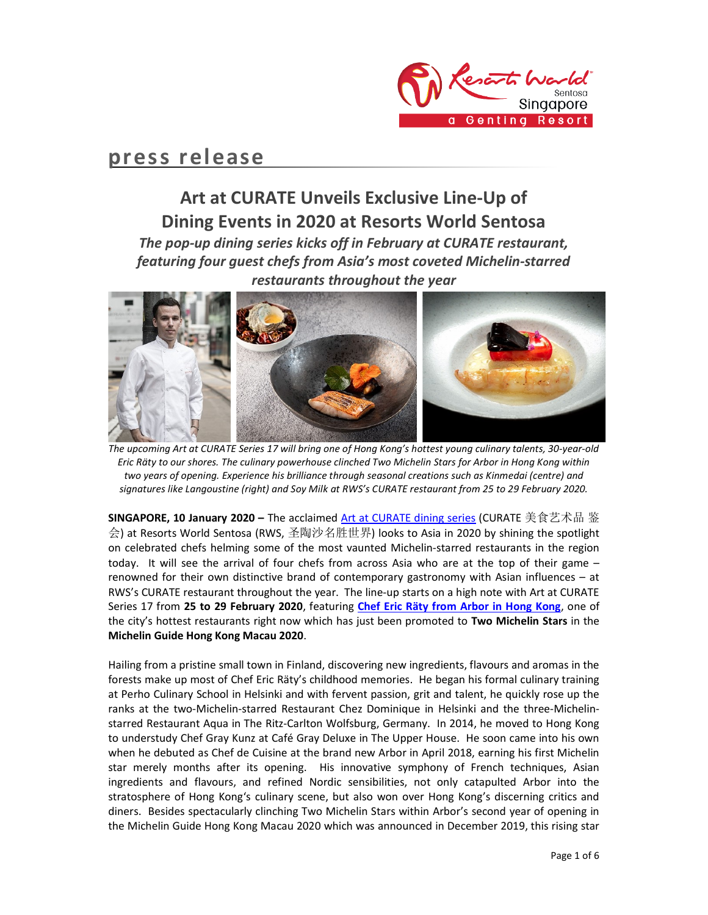

## press release

# Art at CURATE Unveils Exclusive Line-Up of Dining Events in 2020 at Resorts World Sentosa

The pop-up dining series kicks off in February at CURATE restaurant, featuring four guest chefs from Asia's most coveted Michelin-starred restaurants throughout the year



The upcoming Art at CURATE Series 17 will bring one of Hong Kong's hottest young culinary talents, 30-year-old Eric Räty to our shores. The culinary powerhouse clinched Two Michelin Stars for Arbor in Hong Kong within two years of opening. Experience his brilliance through seasonal creations such as Kinmedai (centre) and signatures like Langoustine (right) and Soy Milk at RWS's CURATE restaurant from 25 to 29 February 2020.

SINGAPORE, 10 January 2020 – The acclaimed Art at CURATE dining series (CURATE 美食艺术品 鉴 会) at Resorts World Sentosa (RWS, 圣陶沙名胜世界) looks to Asia in 2020 by shining the spotlight on celebrated chefs helming some of the most vaunted Michelin-starred restaurants in the region today. It will see the arrival of four chefs from across Asia who are at the top of their game – renowned for their own distinctive brand of contemporary gastronomy with Asian influences – at RWS's CURATE restaurant throughout the year. The line-up starts on a high note with Art at CURATE Series 17 from 25 to 29 February 2020, featuring Chef Eric Räty from Arbor in Hong Kong, one of the city's hottest restaurants right now which has just been promoted to Two Michelin Stars in the Michelin Guide Hong Kong Macau 2020.

Hailing from a pristine small town in Finland, discovering new ingredients, flavours and aromas in the forests make up most of Chef Eric Räty's childhood memories. He began his formal culinary training at Perho Culinary School in Helsinki and with fervent passion, grit and talent, he quickly rose up the ranks at the two-Michelin-starred Restaurant Chez Dominique in Helsinki and the three-Michelinstarred Restaurant Aqua in The Ritz-Carlton Wolfsburg, Germany. In 2014, he moved to Hong Kong to understudy Chef Gray Kunz at Café Gray Deluxe in The Upper House. He soon came into his own when he debuted as Chef de Cuisine at the brand new Arbor in April 2018, earning his first Michelin star merely months after its opening. His innovative symphony of French techniques, Asian ingredients and flavours, and refined Nordic sensibilities, not only catapulted Arbor into the stratosphere of Hong Kong's culinary scene, but also won over Hong Kong's discerning critics and diners. Besides spectacularly clinching Two Michelin Stars within Arbor's second year of opening in the Michelin Guide Hong Kong Macau 2020 which was announced in December 2019, this rising star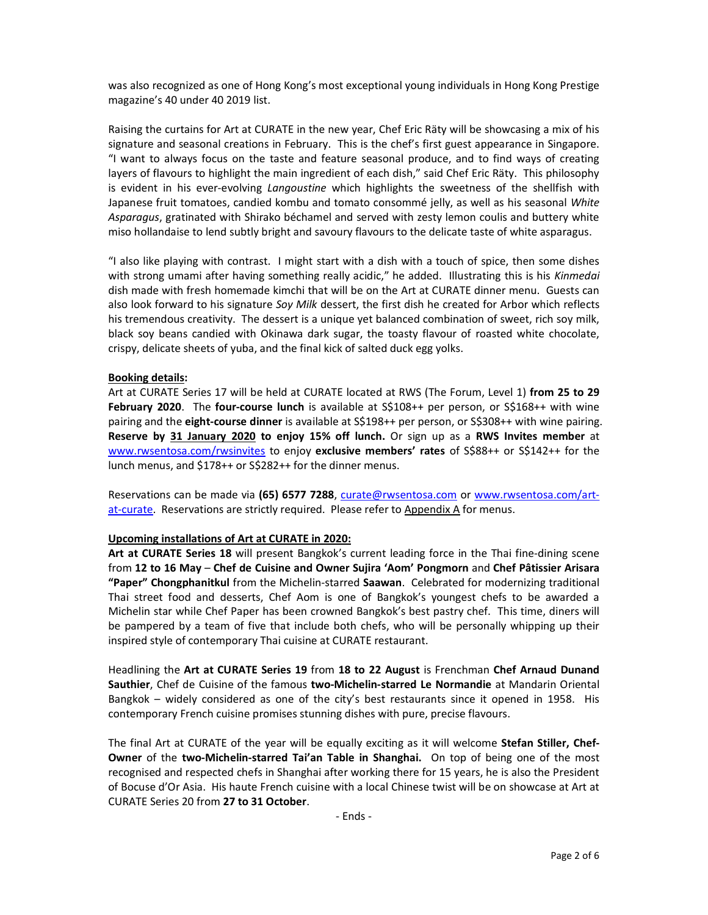was also recognized as one of Hong Kong's most exceptional young individuals in Hong Kong Prestige magazine's 40 under 40 2019 list.

Raising the curtains for Art at CURATE in the new year, Chef Eric Räty will be showcasing a mix of his signature and seasonal creations in February. This is the chef's first guest appearance in Singapore. "I want to always focus on the taste and feature seasonal produce, and to find ways of creating layers of flavours to highlight the main ingredient of each dish," said Chef Eric Räty. This philosophy is evident in his ever-evolving *Langoustine* which highlights the sweetness of the shellfish with Japanese fruit tomatoes, candied kombu and tomato consommé jelly, as well as his seasonal White Asparagus, gratinated with Shirako béchamel and served with zesty lemon coulis and buttery white miso hollandaise to lend subtly bright and savoury flavours to the delicate taste of white asparagus.

"I also like playing with contrast. I might start with a dish with a touch of spice, then some dishes with strong umami after having something really acidic," he added. Illustrating this is his Kinmedai dish made with fresh homemade kimchi that will be on the Art at CURATE dinner menu. Guests can also look forward to his signature Soy Milk dessert, the first dish he created for Arbor which reflects his tremendous creativity. The dessert is a unique yet balanced combination of sweet, rich soy milk, black soy beans candied with Okinawa dark sugar, the toasty flavour of roasted white chocolate, crispy, delicate sheets of yuba, and the final kick of salted duck egg yolks.

#### Booking details:

Art at CURATE Series 17 will be held at CURATE located at RWS (The Forum, Level 1) from 25 to 29 February 2020. The four-course lunch is available at S\$108++ per person, or S\$168++ with wine pairing and the eight-course dinner is available at S\$198++ per person, or S\$308++ with wine pairing. Reserve by 31 January 2020 to enjoy 15% off lunch. Or sign up as a RWS Invites member at www.rwsentosa.com/rwsinvites to enjoy exclusive members' rates of S\$88++ or S\$142++ for the lunch menus, and \$178++ or S\$282++ for the dinner menus.

Reservations can be made via (65) 6577 7288, curate@rwsentosa.com or www.rwsentosa.com/artat-curate. Reservations are strictly required. Please refer to Appendix A for menus.

#### Upcoming installations of Art at CURATE in 2020:

Art at CURATE Series 18 will present Bangkok's current leading force in the Thai fine-dining scene from 12 to 16 May – Chef de Cuisine and Owner Sujira 'Aom' Pongmorn and Chef Pâtissier Arisara "Paper" Chongphanitkul from the Michelin-starred Saawan. Celebrated for modernizing traditional Thai street food and desserts, Chef Aom is one of Bangkok's youngest chefs to be awarded a Michelin star while Chef Paper has been crowned Bangkok's best pastry chef. This time, diners will be pampered by a team of five that include both chefs, who will be personally whipping up their inspired style of contemporary Thai cuisine at CURATE restaurant.

Headlining the Art at CURATE Series 19 from 18 to 22 August is Frenchman Chef Arnaud Dunand Sauthier, Chef de Cuisine of the famous two-Michelin-starred Le Normandie at Mandarin Oriental Bangkok – widely considered as one of the city's best restaurants since it opened in 1958. His contemporary French cuisine promises stunning dishes with pure, precise flavours.

The final Art at CURATE of the year will be equally exciting as it will welcome Stefan Stiller, Chef-Owner of the two-Michelin-starred Tai'an Table in Shanghai. On top of being one of the most recognised and respected chefs in Shanghai after working there for 15 years, he is also the President of Bocuse d'Or Asia. His haute French cuisine with a local Chinese twist will be on showcase at Art at CURATE Series 20 from 27 to 31 October.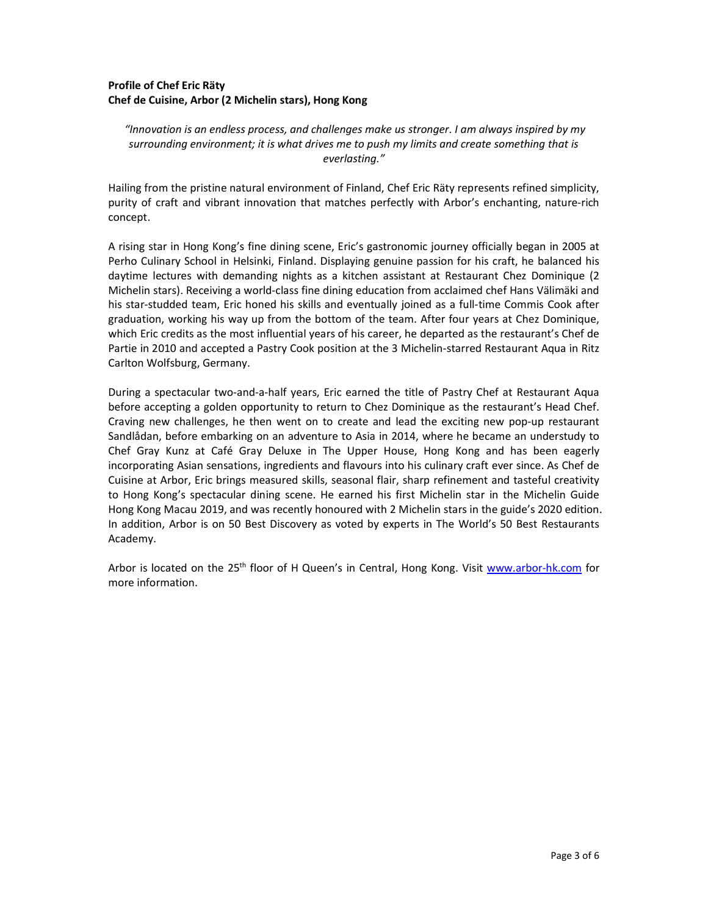### Profile of Chef Eric Räty Chef de Cuisine, Arbor (2 Michelin stars), Hong Kong

 "Innovation is an endless process, and challenges make us stronger. I am always inspired by my surrounding environment; it is what drives me to push my limits and create something that is everlasting."

Hailing from the pristine natural environment of Finland, Chef Eric Räty represents refined simplicity, purity of craft and vibrant innovation that matches perfectly with Arbor's enchanting, nature-rich concept.

A rising star in Hong Kong's fine dining scene, Eric's gastronomic journey officially began in 2005 at Perho Culinary School in Helsinki, Finland. Displaying genuine passion for his craft, he balanced his daytime lectures with demanding nights as a kitchen assistant at Restaurant Chez Dominique (2 Michelin stars). Receiving a world-class fine dining education from acclaimed chef Hans Välimäki and his star-studded team, Eric honed his skills and eventually joined as a full-time Commis Cook after graduation, working his way up from the bottom of the team. After four years at Chez Dominique, which Eric credits as the most influential years of his career, he departed as the restaurant's Chef de Partie in 2010 and accepted a Pastry Cook position at the 3 Michelin-starred Restaurant Aqua in Ritz Carlton Wolfsburg, Germany.

During a spectacular two-and-a-half years, Eric earned the title of Pastry Chef at Restaurant Aqua before accepting a golden opportunity to return to Chez Dominique as the restaurant's Head Chef. Craving new challenges, he then went on to create and lead the exciting new pop-up restaurant Sandlådan, before embarking on an adventure to Asia in 2014, where he became an understudy to Chef Gray Kunz at Café Gray Deluxe in The Upper House, Hong Kong and has been eagerly incorporating Asian sensations, ingredients and flavours into his culinary craft ever since. As Chef de Cuisine at Arbor, Eric brings measured skills, seasonal flair, sharp refinement and tasteful creativity to Hong Kong's spectacular dining scene. He earned his first Michelin star in the Michelin Guide Hong Kong Macau 2019, and was recently honoured with 2 Michelin stars in the guide's 2020 edition. In addition, Arbor is on 50 Best Discovery as voted by experts in The World's 50 Best Restaurants Academy.

Arbor is located on the 25<sup>th</sup> floor of H Queen's in Central, Hong Kong. Visit www.arbor-hk.com for more information.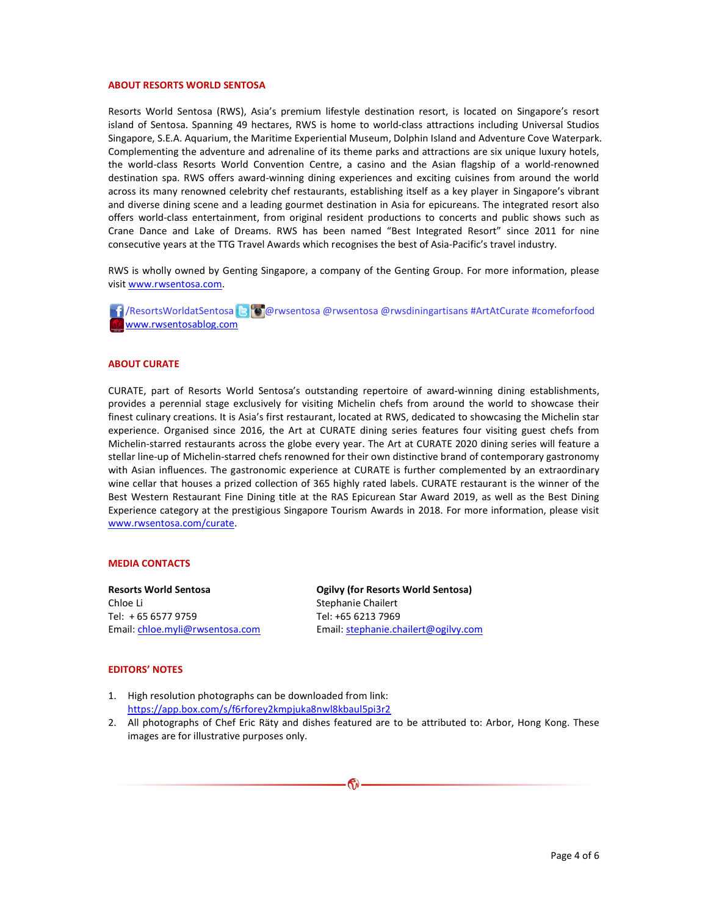#### ABOUT RESORTS WORLD SENTOSA

Resorts World Sentosa (RWS), Asia's premium lifestyle destination resort, is located on Singapore's resort island of Sentosa. Spanning 49 hectares, RWS is home to world-class attractions including Universal Studios Singapore, S.E.A. Aquarium, the Maritime Experiential Museum, Dolphin Island and Adventure Cove Waterpark. Complementing the adventure and adrenaline of its theme parks and attractions are six unique luxury hotels, the world-class Resorts World Convention Centre, a casino and the Asian flagship of a world-renowned destination spa. RWS offers award-winning dining experiences and exciting cuisines from around the world across its many renowned celebrity chef restaurants, establishing itself as a key player in Singapore's vibrant and diverse dining scene and a leading gourmet destination in Asia for epicureans. The integrated resort also offers world-class entertainment, from original resident productions to concerts and public shows such as Crane Dance and Lake of Dreams. RWS has been named "Best Integrated Resort" since 2011 for nine consecutive years at the TTG Travel Awards which recognises the best of Asia-Pacific's travel industry.

RWS is wholly owned by Genting Singapore, a company of the Genting Group. For more information, please visit www.rwsentosa.com.

 /ResortsWorldatSentosa @rwsentosa @rwsentosa @rwsdiningartisans #ArtAtCurate #comeforfood www.rwsentosablog.com

#### ABOUT CURATE

CURATE, part of Resorts World Sentosa's outstanding repertoire of award-winning dining establishments, provides a perennial stage exclusively for visiting Michelin chefs from around the world to showcase their finest culinary creations. It is Asia's first restaurant, located at RWS, dedicated to showcasing the Michelin star experience. Organised since 2016, the Art at CURATE dining series features four visiting guest chefs from Michelin-starred restaurants across the globe every year. The Art at CURATE 2020 dining series will feature a stellar line-up of Michelin-starred chefs renowned for their own distinctive brand of contemporary gastronomy with Asian influences. The gastronomic experience at CURATE is further complemented by an extraordinary wine cellar that houses a prized collection of 365 highly rated labels. CURATE restaurant is the winner of the Best Western Restaurant Fine Dining title at the RAS Epicurean Star Award 2019, as well as the Best Dining Experience category at the prestigious Singapore Tourism Awards in 2018. For more information, please visit www.rwsentosa.com/curate.

#### MEDIA CONTACTS

Resorts World Sentosa Chloe Li Tel: + 65 6577 9759 Email: chloe.myli@rwsentosa.com Ogilvy (for Resorts World Sentosa) Stephanie Chailert Tel: +65 6213 7969 Email: stephanie.chailert@ogilvy.com

#### EDITORS' NOTES

- 1. High resolution photographs can be downloaded from link: https://app.box.com/s/f6rforey2kmpjuka8nwl8kbaul5pi3r2
- 2. All photographs of Chef Eric Räty and dishes featured are to be attributed to: Arbor, Hong Kong. These images are for illustrative purposes only.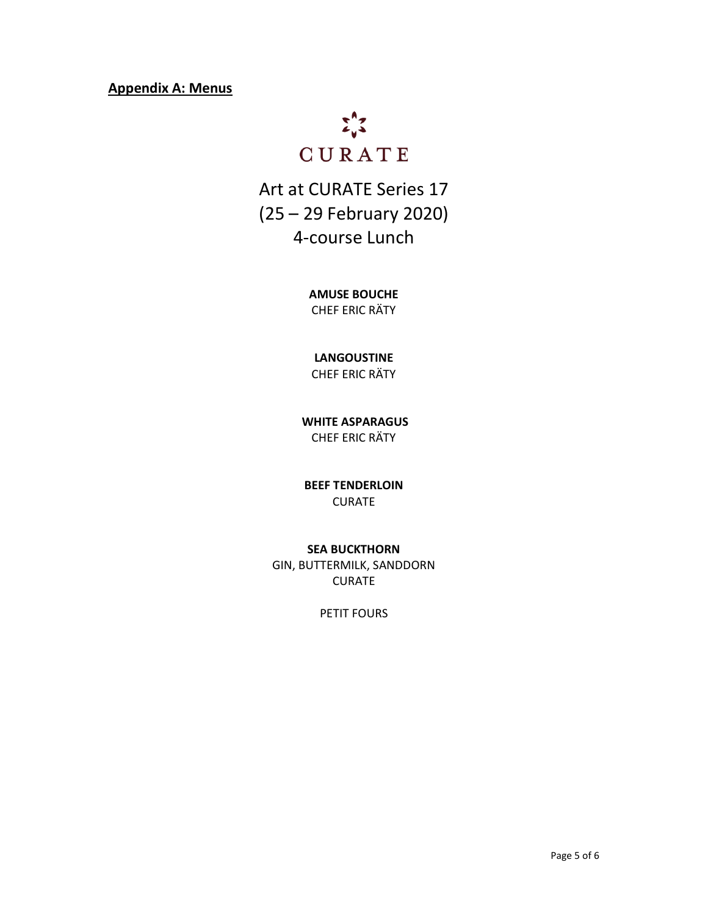## Appendix A: Menus



Art at CURATE Series 17 (25 – 29 February 2020) 4-course Lunch

> AMUSE BOUCHE CHEF ERIC RÄTY

## LANGOUSTINE

CHEF ERIC RÄTY

 WHITE ASPARAGUS CHEF ERIC RÄTY

BEEF TENDERLOIN CURATE

### SEA BUCKTHORN

GIN, BUTTERMILK, SANDDORN CURATE

PETIT FOURS